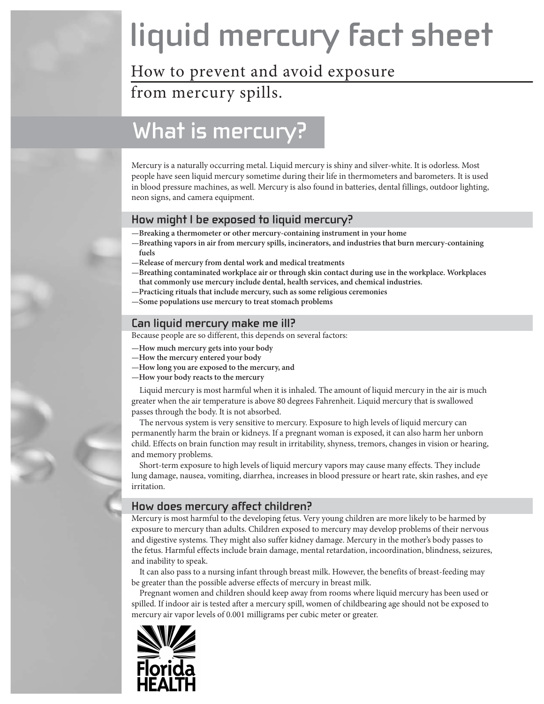# **liquid mercury fact sheet**

# How to prevent and avoid exposure

from mercury spills.

# **What is mercury?**

Mercury is a naturally occurring metal. Liquid mercury is shiny and silver-white. It is odorless. Most people have seen liquid mercury sometime during their life in thermometers and barometers. It is used in blood pressure machines, as well. Mercury is also found in batteries, dental fillings, outdoor lighting, neon signs, and camera equipment.

### **How might I be exposed to liquid mercury?**

- **—Breaking a thermometer or other mercury-containing instrument in your home**
- **—Breathing vapors in air from mercury spills, incinerators, and industries that burn mercury-containing fuels**
- **—Release of mercury from dental work and medical treatments**
- **—Breathing contaminated workplace air or through skin contact during use in the workplace. Workplaces that commonly use mercury include dental, health services, and chemical industries.**
- **—Practicing rituals that include mercury, such as some religious ceremonies**
- **—Some populations use mercury to treat stomach problems**

#### **Can liquid mercury make me ill?**

Because people are so different, this depends on several factors:

- **—How much mercury gets into your body**
- **—How the mercury entered your body**
- **—How long you are exposed to the mercury, and**
- **—How your body reacts to the mercury**

Liquid mercury is most harmful when it is inhaled. The amount of liquid mercury in the air is much greater when the air temperature is above 80 degrees Fahrenheit. Liquid mercury that is swallowed passes through the body. It is not absorbed.

The nervous system is very sensitive to mercury. Exposure to high levels of liquid mercury can permanently harm the brain or kidneys. If a pregnant woman is exposed, it can also harm her unborn child. Effects on brain function may result in irritability, shyness, tremors, changes in vision or hearing, and memory problems.

Short-term exposure to high levels of liquid mercury vapors may cause many effects. They include lung damage, nausea, vomiting, diarrhea, increases in blood pressure or heart rate, skin rashes, and eye irritation.

#### **How does mercury affect children?**

Mercury is most harmful to the developing fetus. Very young children are more likely to be harmed by exposure to mercury than adults. Children exposed to mercury may develop problems of their nervous and digestive systems. They might also suffer kidney damage. Mercury in the mother's body passes to the fetus. Harmful effects include brain damage, mental retardation, incoordination, blindness, seizures, and inability to speak.

It can also pass to a nursing infant through breast milk. However, the benefits of breast-feeding may be greater than the possible adverse effects of mercury in breast milk.

Pregnant women and children should keep away from rooms where liquid mercury has been used or spilled. If indoor air is tested after a mercury spill, women of childbearing age should not be exposed to mercury air vapor levels of 0.001 milligrams per cubic meter or greater.